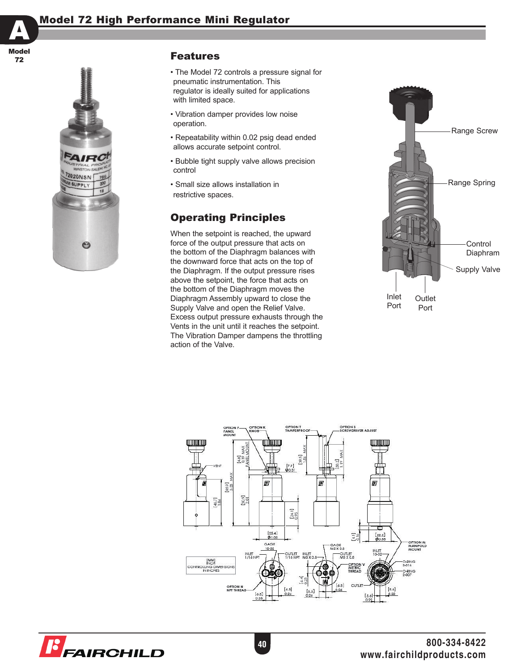



## **Features**

- The Model 72 controls a pressure signal for pneumatic instrumentation. This regulator is ideally suited for applications with limited space.
- Vibration damper provides low noise operation.
- Repeatability within 0.02 psig dead ended allows accurate setpoint control.
- Bubble tight supply valve allows precision control
- Small size allows installation in restrictive spaces.

# Operating Principles

When the setpoint is reached, the upward force of the output pressure that acts on the bottom of the Diaphragm balances with the downward force that acts on the top of the Diaphragm. If the output pressure rises above the setpoint, the force that acts on the bottom of the Diaphragm moves the Diaphragm Assembly upward to close the Supply Valve and open the Relief Valve. Excess output pressure exhausts through the Vents in the unit until it reaches the setpoint. The Vibration Damper dampens the throttling action of the Valve.